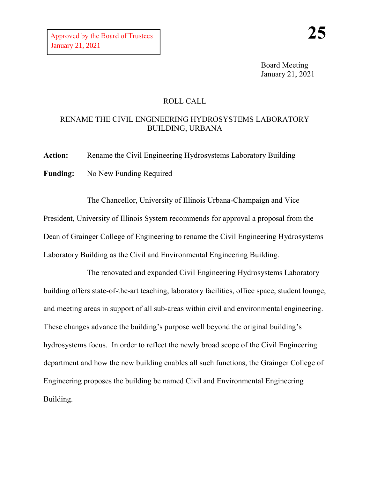Board Meeting January 21, 2021

## ROLL CALL

## RENAME THE CIVIL ENGINEERING HYDROSYSTEMS LABORATORY BUILDING, URBANA

Action: Rename the Civil Engineering Hydrosystems Laboratory Building Funding: No New Funding Required

The Chancellor, University of Illinois Urbana-Champaign and Vice President, University of Illinois System recommends for approval a proposal from the Dean of Grainger College of Engineering to rename the Civil Engineering Hydrosystems Laboratory Building as the Civil and Environmental Engineering Building.

The renovated and expanded Civil Engineering Hydrosystems Laboratory building offers state-of-the-art teaching, laboratory facilities, office space, student lounge, and meeting areas in support of all sub-areas within civil and environmental engineering. These changes advance the building's purpose well beyond the original building's hydrosystems focus. In order to reflect the newly broad scope of the Civil Engineering department and how the new building enables all such functions, the Grainger College of Engineering proposes the building be named Civil and Environmental Engineering Building.